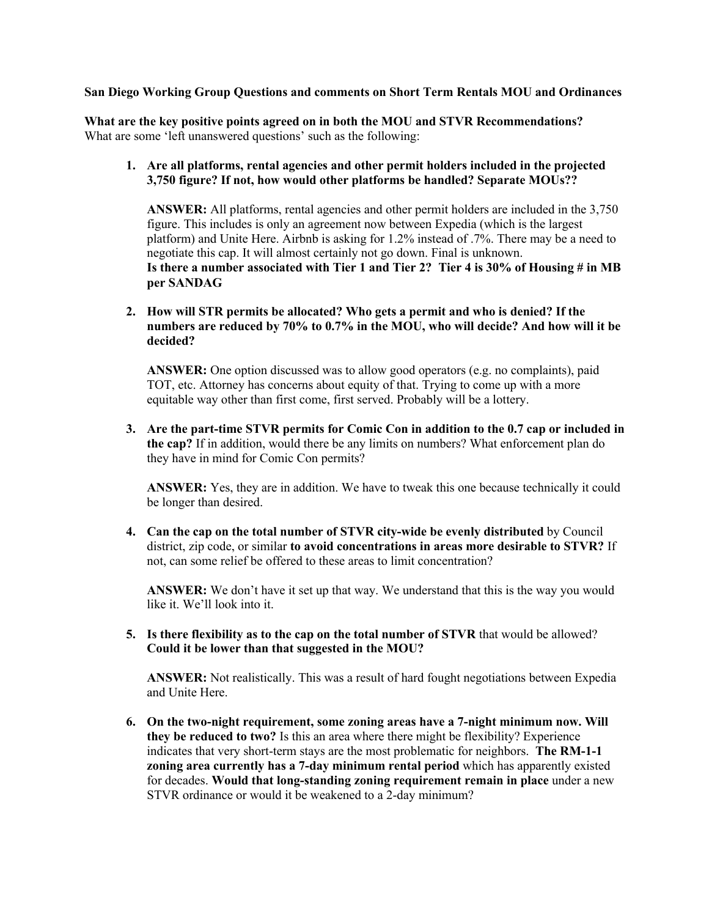## **San Diego Working Group Questions and comments on Short Term Rentals MOU and Ordinances**

**What are the key positive points agreed on in both the MOU and STVR Recommendations?** What are some 'left unanswered questions' such as the following:

## **1. Are all platforms, rental agencies and other permit holders included in the projected 3,750 figure? If not, how would other platforms be handled? Separate MOUs??**

**ANSWER:** All platforms, rental agencies and other permit holders are included in the 3,750 figure. This includes is only an agreement now between Expedia (which is the largest platform) and Unite Here. Airbnb is asking for 1.2% instead of .7%. There may be a need to negotiate this cap. It will almost certainly not go down. Final is unknown. **Is there a number associated with Tier 1 and Tier 2? Tier 4 is 30% of Housing # in MB per SANDAG**

**2. How will STR permits be allocated? Who gets a permit and who is denied? If the numbers are reduced by 70% to 0.7% in the MOU, who will decide? And how will it be decided?**

**ANSWER:** One option discussed was to allow good operators (e.g. no complaints), paid TOT, etc. Attorney has concerns about equity of that. Trying to come up with a more equitable way other than first come, first served. Probably will be a lottery.

**3. Are the part-time STVR permits for Comic Con in addition to the 0.7 cap or included in the cap?** If in addition, would there be any limits on numbers? What enforcement plan do they have in mind for Comic Con permits?

**ANSWER:** Yes, they are in addition. We have to tweak this one because technically it could be longer than desired.

**4. Can the cap on the total number of STVR city-wide be evenly distributed** by Council district, zip code, or similar **to avoid concentrations in areas more desirable to STVR?** If not, can some relief be offered to these areas to limit concentration?

**ANSWER:** We don't have it set up that way. We understand that this is the way you would like it. We'll look into it.

**5. Is there flexibility as to the cap on the total number of STVR** that would be allowed? **Could it be lower than that suggested in the MOU?**

**ANSWER:** Not realistically. This was a result of hard fought negotiations between Expedia and Unite Here.

**6. On the two-night requirement, some zoning areas have a 7-night minimum now. Will they be reduced to two?** Is this an area where there might be flexibility? Experience indicates that very short-term stays are the most problematic for neighbors. **The RM-1-1 zoning area currently has a 7-day minimum rental period** which has apparently existed for decades. **Would that long-standing zoning requirement remain in place** under a new STVR ordinance or would it be weakened to a 2-day minimum?